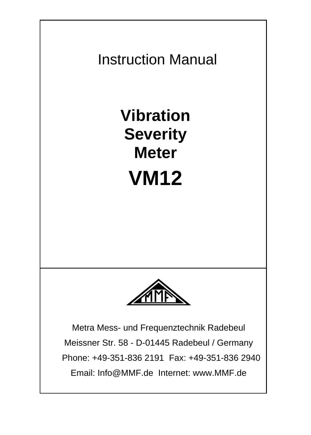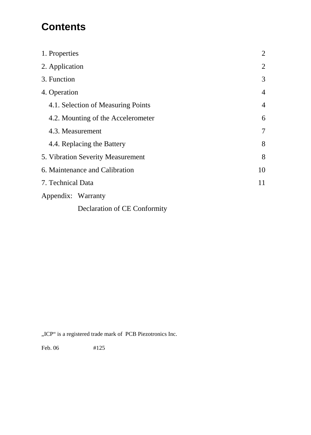# **Contents**

| 1. Properties                      | 2 |
|------------------------------------|---|
| 2. Application                     | 2 |
| 3. Function                        | 3 |
| 4. Operation                       | 4 |
| 4.1. Selection of Measuring Points | 4 |
| 4.2. Mounting of the Accelerometer | 6 |
| 4.3. Measurement                   |   |
| 4.4. Replacing the Battery         | 8 |
| 5. Vibration Severity Measurement  | 8 |
| 6. Maintenance and Calibration     |   |
| 7. Technical Data                  |   |
| Appendix: Warranty                 |   |
| Declaration of CE Conformity       |   |

"ICP" is a registered trade mark of PCB Piezotronics Inc.

Feb. 06 #125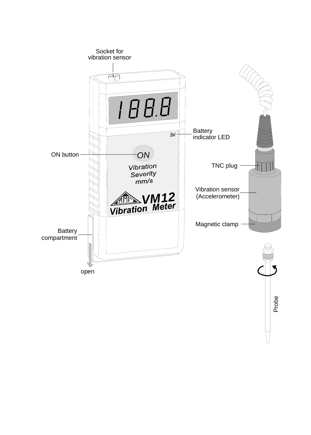

Probe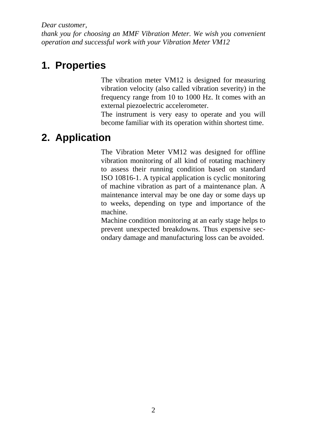*Dear customer,* 

*thank you for choosing an MMF Vibration Meter. We wish you convenient operation and successful work with your Vibration Meter VM12* 

## **1. Properties**

The vibration meter VM12 is designed for measuring vibration velocity (also called vibration severity) in the frequency range from 10 to 1000 Hz. It comes with an external piezoelectric accelerometer.

The instrument is very easy to operate and you will become familiar with its operation within shortest time.

## **2. Application**

The Vibration Meter VM12 was designed for offline vibration monitoring of all kind of rotating machinery to assess their running condition based on standard ISO 10816-1. A typical application is cyclic monitoring of machine vibration as part of a maintenance plan. A maintenance interval may be one day or some days up to weeks, depending on type and importance of the machine.

Machine condition monitoring at an early stage helps to prevent unexpected breakdowns. Thus expensive secondary damage and manufacturing loss can be avoided.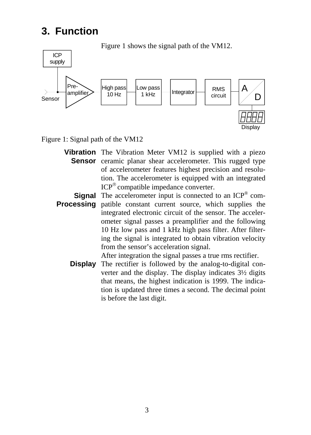# **3. Function**



Figure 1: Signal path of the VM12

**Vibration**  The Vibration Meter VM12 is supplied with a piezo **Sensor** ceramic planar shear accelerometer. This rugged type of accelerometer features highest precision and resolution. The accelerometer is equipped with an integrated ICP® compatible impedance converter.

**Signal** The accelerometer input is connected to an ICP® com-

Processing patible constant current source, which supplies the integrated electronic circuit of the sensor. The accelerometer signal passes a preamplifier and the following 10 Hz low pass and 1 kHz high pass filter. After filtering the signal is integrated to obtain vibration velocity from the sensor's acceleration signal.

After integration the signal passes a true rms rectifier.

**Display** The rectifier is followed by the analog-to-digital converter and the display. The display indicates 3½ digits that means, the highest indication is 1999. The indication is updated three times a second. The decimal point is before the last digit.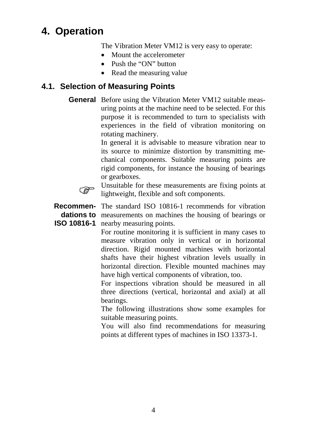# **4. Operation**

The Vibration Meter VM12 is very easy to operate:

- Mount the accelerometer
- Push the "ON" button
- Read the measuring value

### **4.1. Selection of Measuring Points**

**General** Before using the Vibration Meter VM12 suitable measuring points at the machine need to be selected. For this purpose it is recommended to turn to specialists with experiences in the field of vibration monitoring on rotating machinery.

> In general it is advisable to measure vibration near to its source to minimize distortion by transmitting mechanical components. Suitable measuring points are rigid components, for instance the housing of bearings or gearboxes.



Unsuitable for these measurements are fixing points at lightweight, flexible and soft components.

**Recommen-**The standard ISO 10816-1 recommends for vibration **dations to**  measurements on machines the housing of bearings or **ISO 10816-1** nearby measuring points.

> For routine monitoring it is sufficient in many cases to measure vibration only in vertical or in horizontal direction. Rigid mounted machines with horizontal shafts have their highest vibration levels usually in horizontal direction. Flexible mounted machines may have high vertical components of vibration, too.

> For inspections vibration should be measured in all three directions (vertical, horizontal and axial) at all bearings.

> The following illustrations show some examples for suitable measuring points.

> You will also find recommendations for measuring points at different types of machines in ISO 13373-1.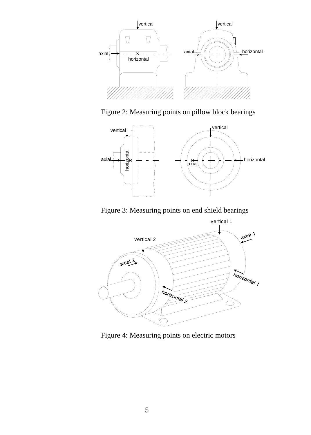

Figure 2: Measuring points on pillow block bearings



Figure 3: Measuring points on end shield bearings



Figure 4: Measuring points on electric motors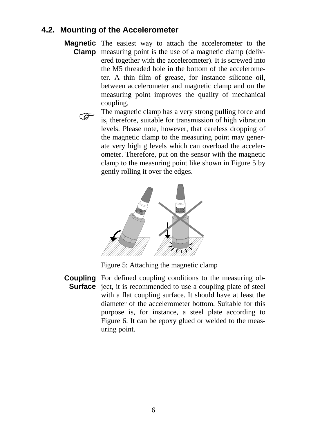## **4.2. Mounting of the Accelerometer**

- **Magnetic** The easiest way to attach the accelerometer to the **Clamp** measuring point is the use of a magnetic clamp (delivered together with the accelerometer). It is screwed into the M5 threaded hole in the bottom of the accelerometer. A thin film of grease, for instance silicone oil, between accelerometer and magnetic clamp and on the measuring point improves the quality of mechanical coupling.
	-

The magnetic clamp has a very strong pulling force and is, therefore, suitable for transmission of high vibration levels. Please note, however, that careless dropping of the magnetic clamp to the measuring point may generate very high g levels which can overload the accelerometer. Therefore, put on the sensor with the magnetic clamp to the measuring point like shown in Figure 5 by gently rolling it over the edges.



Figure 5: Attaching the magnetic clamp

**Coupling**  For defined coupling conditions to the measuring ob-**Surface** ject, it is recommended to use a coupling plate of steel with a flat coupling surface. It should have at least the diameter of the accelerometer bottom. Suitable for this purpose is, for instance, a steel plate according to Figure 6. It can be epoxy glued or welded to the measuring point.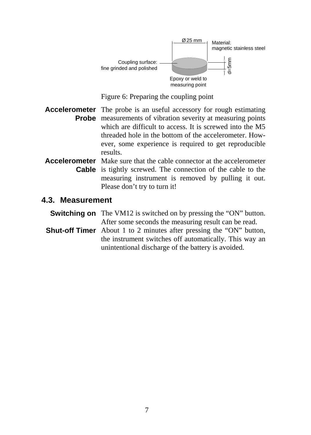

Figure 6: Preparing the coupling point

- Accelerometer The probe is an useful accessory for rough estimating **Probe** measurements of vibration severity at measuring points which are difficult to access. It is screwed into the M5 threaded hole in the bottom of the accelerometer. However, some experience is required to get reproducible results.
- Accelerometer Make sure that the cable connector at the accelerometer  **Cable** is tightly screwed. The connection of the cable to the measuring instrument is removed by pulling it out. Please don't try to turn it!

#### **4.3. Measurement**

**Switching on** The VM12 is switched on by pressing the "ON" button. After some seconds the measuring result can be read.

**Shut-off Timer** About 1 to 2 minutes after pressing the "ON" button, the instrument switches off automatically. This way an unintentional discharge of the battery is avoided.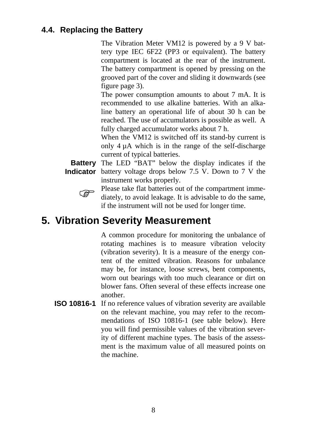## **4.4. Replacing the Battery**

The Vibration Meter VM12 is powered by a 9 V battery type IEC 6F22 (PP3 or equivalent). The battery compartment is located at the rear of the instrument. The battery compartment is opened by pressing on the grooved part of the cover and sliding it downwards (see figure page 3).

The power consumption amounts to about 7 mA. It is recommended to use alkaline batteries. With an alkaline battery an operational life of about 30 h can be reached. The use of accumulators is possible as well. A fully charged accumulator works about 7 h.

When the VM12 is switched off its stand-by current is only 4 µA which is in the range of the self-discharge current of typical batteries.

**Battery**  The LED "BAT" below the display indicates if the **Indicator** battery voltage drops below 7.5 V. Down to 7 V the instrument works properly.



Please take flat batteries out of the compartment immediately directly the compartment immediately diately, to avoid leakage. It is advisable to do the same, if the instrument will not be used for longer time.

## **5. Vibration Severity Measurement**

A common procedure for monitoring the unbalance of rotating machines is to measure vibration velocity (vibration severity). It is a measure of the energy content of the emitted vibration. Reasons for unbalance may be, for instance, loose screws, bent components, worn out bearings with too much clearance or dirt on blower fans. Often several of these effects increase one another.

**ISO 10816-1** If no reference values of vibration severity are available on the relevant machine, you may refer to the recommendations of ISO 10816-1 (see table below). Here you will find permissible values of the vibration severity of different machine types. The basis of the assessment is the maximum value of all measured points on the machine.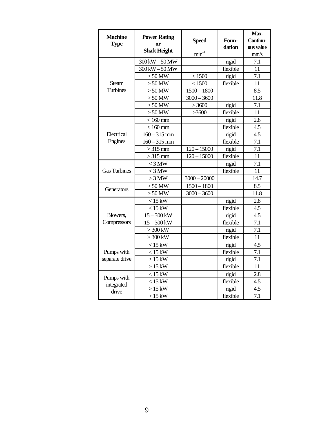| <b>Machine</b><br><b>Type</b> | <b>Power Rating</b><br><sub>or</sub><br><b>Shaft Height</b> | <b>Speed</b><br>$min-1$ | Foun-<br>dation | Max.<br>Continu-<br>ous value<br>mm/s |
|-------------------------------|-------------------------------------------------------------|-------------------------|-----------------|---------------------------------------|
|                               | 300 kW - 50 MW                                              |                         | rigid           | 7.1                                   |
|                               | $300\,\mathrm{kW}$ – $50\,\mathrm{MW}$                      |                         | flexible        | 11                                    |
|                               | $>50$ MW                                                    | < 1500                  | rigid           | 7.1                                   |
| Steam                         | $>50$ MW                                                    | < 1500                  | flexible        | 11                                    |
| <b>Turbines</b>               | $>50$ MW                                                    | $1500 - 1800$           |                 | 8.5                                   |
|                               | $>50$ MW                                                    | $3000 - 3600$           |                 | 11.8                                  |
|                               | $>50$ MW                                                    | >3600                   | rigid           | 7.1                                   |
|                               | $>50$ MW                                                    | >3600                   | flexible        | 11                                    |
|                               | $< 160$ mm                                                  |                         | rigid           | 2.8                                   |
|                               | $< 160$ mm                                                  |                         | flexible        | 4.5                                   |
| Electrical                    | $160 - 315$ mm                                              |                         | rigid           | 4.5                                   |
| Engines                       | $160 - 315$ mm                                              |                         | flexible        | 7.1                                   |
|                               | $>315$ mm                                                   | $120 - 15000$           | rigid           | 7.1                                   |
|                               | $>315$ mm                                                   | $120 - 15000$           | flexible        | 11                                    |
| <b>Gas Turbines</b>           | $<$ 3 MW                                                    |                         | rigid           | 7.1                                   |
|                               | $<$ 3 MW                                                    |                         | flexible        | 11                                    |
|                               | $>$ 3 MW                                                    | $3000 - 20000$          |                 | 14.7                                  |
| Generators                    | $>50$ MW                                                    | $1500 - 1800$           |                 | 8.5                                   |
|                               | $>50$ MW                                                    | $3000 - 3600$           |                 | 11.8                                  |
| Blowers.<br>Compressors       | $< 15$ kW                                                   |                         | rigid           | 2.8                                   |
|                               | $< 15$ kW                                                   |                         | flexible        | 4.5                                   |
|                               | $15 - 300$ kW                                               |                         | rigid           | 4.5                                   |
|                               | $15 - 300$ kW                                               |                         | flexible        | 7.1                                   |
|                               | $>300$ kW                                                   |                         | rigid           | 7.1                                   |
|                               | $>300$ kW                                                   |                         | flexible        | 11                                    |
| Pumps with<br>separate drive  | $< 15$ kW                                                   |                         | rigid           | 4.5                                   |
|                               | $< 15$ kW                                                   |                         | flexible        | 7.1                                   |
|                               | $>15$ kW                                                    |                         | rigid           | 7.1                                   |
|                               | $>15$ kW                                                    |                         | flexible        | 11                                    |
| Pumps with                    | $< 15$ kW                                                   |                         | rigid           | 2.8                                   |
| integrated                    | $< 15$ kW                                                   |                         | flexible        | 4.5                                   |
| drive                         | $>15$ kW                                                    |                         | rigid           | 4.5                                   |
|                               | $>15$ kW                                                    |                         | flexible        | 7.1                                   |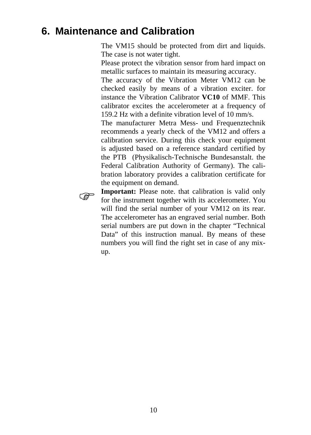## **6. Maintenance and Calibration**

The VM15 should be protected from dirt and liquids. The case is not water tight.

Please protect the vibration sensor from hard impact on metallic surfaces to maintain its measuring accuracy.

The accuracy of the Vibration Meter VM12 can be checked easily by means of a vibration exciter. for instance the Vibration Calibrator **VC10** of MMF. This calibrator excites the accelerometer at a frequency of 159.2 Hz with a definite vibration level of 10 mm/s.

The manufacturer Metra Mess- und Frequenztechnik recommends a yearly check of the VM12 and offers a calibration service. During this check your equipment is adjusted based on a reference standard certified by the PTB (Physikalisch-Technische Bundesanstalt. the Federal Calibration Authority of Germany). The calibration laboratory provides a calibration certificate for the equipment on demand.



**Important:** Please note. that calibration is valid only for the instrument together with its accelerometer. You will find the serial number of your VM12 on its rear. The accelerometer has an engraved serial number. Both serial numbers are put down in the chapter "Technical Data" of this instruction manual. By means of these numbers you will find the right set in case of any mixup.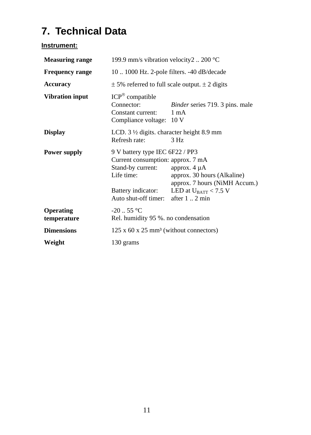# **7. Technical Data**

#### **Instrument:**

| <b>Measuring range</b>          | 199.9 mm/s vibration velocity2  200 $^{\circ}$ C                                                                                                                                                |                                                                                                 |  |
|---------------------------------|-------------------------------------------------------------------------------------------------------------------------------------------------------------------------------------------------|-------------------------------------------------------------------------------------------------|--|
| <b>Frequency range</b>          | $101000$ Hz. 2-pole filters. $-40$ dB/decade                                                                                                                                                    |                                                                                                 |  |
| Accuracy                        | $\pm$ 5% referred to full scale output. $\pm$ 2 digits                                                                                                                                          |                                                                                                 |  |
| <b>Vibration input</b>          | $ICP^{\circledR}$ compatible<br>Connector:<br>Constant current:<br>Compliance voltage: 10 V                                                                                                     | <i>Binder</i> series 719. 3 pins. male<br>$1 \text{ mA}$                                        |  |
| <b>Display</b>                  | LCD. $3\frac{1}{2}$ digits. character height 8.9 mm<br>Refresh rate:                                                                                                                            | 3 Hz                                                                                            |  |
| Power supply                    | 9 V battery type IEC 6F22 / PP3<br>Current consumption: approx. 7 mA<br>Stand-by current: $\alpha$ approx. 4 $\mu$ A<br>Life time:<br>Battery indicator:<br>Auto shut-off timer: after 1  2 min | approx. 30 hours (Alkaline)<br>approx. 7 hours (NiMH Accum.)<br>LED at $U_{\text{BAT}}$ < 7.5 V |  |
| <b>Operating</b><br>temperature | $-20.55$ °C<br>Rel. humidity 95 %. no condensation                                                                                                                                              |                                                                                                 |  |
| <b>Dimensions</b>               | $125 \times 60 \times 25$ mm <sup>3</sup> (without connectors)                                                                                                                                  |                                                                                                 |  |
| Weight                          | 130 grams                                                                                                                                                                                       |                                                                                                 |  |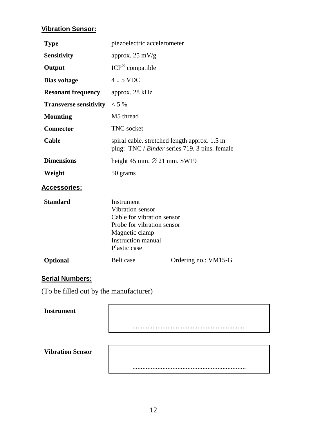## **Vibration Sensor:**

| Type                          | piezoelectric accelerometer                                                                                                                        |                      |  |
|-------------------------------|----------------------------------------------------------------------------------------------------------------------------------------------------|----------------------|--|
| <b>Sensitivity</b>            | approx. $25 \text{ mV/g}$                                                                                                                          |                      |  |
| Output                        | $ICP^{\circledR}$ compatible                                                                                                                       |                      |  |
| <b>Bias voltage</b>           | 4.5 VDC                                                                                                                                            |                      |  |
| <b>Resonant frequency</b>     | approx. 28 kHz                                                                                                                                     |                      |  |
| <b>Transverse sensitivity</b> | $< 5\%$                                                                                                                                            |                      |  |
| <b>Mounting</b>               | M <sub>5</sub> thread                                                                                                                              |                      |  |
| Connector                     | <b>TNC</b> socket                                                                                                                                  |                      |  |
| Cable                         | spiral cable, stretched length approx. 1.5 m<br>plug: TNC / Binder series 719. 3 pins. female                                                      |                      |  |
| <b>Dimensions</b>             | height 45 mm. $\varnothing$ 21 mm. SW19                                                                                                            |                      |  |
| Weight                        | 50 grams                                                                                                                                           |                      |  |
| <b>Accessories:</b>           |                                                                                                                                                    |                      |  |
| <b>Standard</b>               | Instrument<br>Vibration sensor<br>Cable for vibration sensor<br>Probe for vibration sensor<br>Magnetic clamp<br>Instruction manual<br>Plastic case |                      |  |
| Optional                      | Belt case                                                                                                                                          | Ordering no.: VM15-G |  |

#### **Serial Numbers:**

(To be filled out by the manufacturer)

#### **Instrument**

....................................................................

....................................................................

### **Vibration Sensor**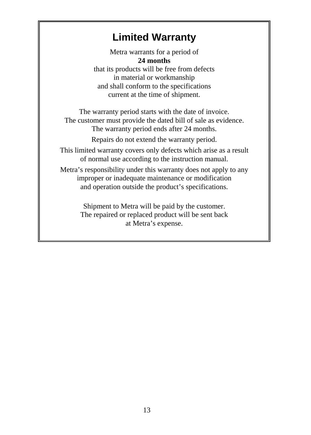## **Limited Warranty**

Metra warrants for a period of **24 months** that its products will be free from defects in material or workmanship and shall conform to the specifications current at the time of shipment.

The warranty period starts with the date of invoice. The customer must provide the dated bill of sale as evidence. The warranty period ends after 24 months.

Repairs do not extend the warranty period.

This limited warranty covers only defects which arise as a result of normal use according to the instruction manual.

Metra's responsibility under this warranty does not apply to any improper or inadequate maintenance or modification and operation outside the product's specifications.

> Shipment to Metra will be paid by the customer. The repaired or replaced product will be sent back at Metra's expense.